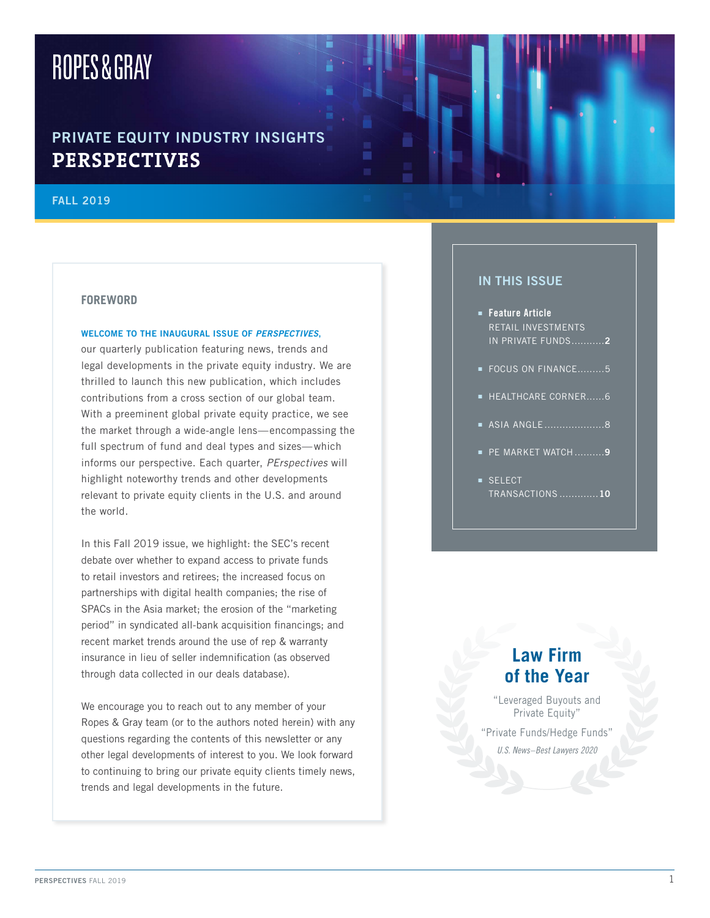# ROPES&GRAY

# PRIVATE EQUITY INDUSTRY INSIGHTS **PERSPECTIVES**

#### **FALL 2019**

#### **FOREWORD**

#### WELCOME TO THE INAUGURAL ISSUE OF PERSPECTIVES,

our quarterly publication featuring news, trends and legal developments in the private equity industry. We are thrilled to launch this new publication, which includes contributions from a cross section of our global team. With a preeminent global private equity practice, we see the market through a wide-angle lens-encompassing the full spectrum of fund and deal types and sizes-which informs our perspective. Each quarter, PErspectives will highlight noteworthy trends and other developments relevant to private equity clients in the U.S. and around the world.

In this Fall 2019 issue, we highlight: the SEC's recent debate over whether to expand access to private funds to retail investors and retirees; the increased focus on partnerships with digital health companies; the rise of SPACs in the Asia market; the erosion of the "marketing" period" in syndicated all-bank acquisition financings; and recent market trends around the use of rep & warranty insurance in lieu of seller indemnification (as observed through data collected in our deals database).

We encourage you to reach out to any member of your Ropes & Gray team (or to the authors noted herein) with any questions regarding the contents of this newsletter or any other legal developments of interest to you. We look forward to continuing to bring our private equity clients timely news, trends and legal developments in the future.

### **IN THIS ISSUE**

- Feature Article RETAIL INVESTMENTS IN PRIVATE FUNDS...........2
- FOCUS ON FINANCE.........5
- E HEALTHCARE CORNER......6
- ASIA ANGLE...........................8
- PE MARKET WATCH..........9
- SELECT TRANSACTIONS .............10

# **Law Firm** of the Year

"Leveraged Buyouts and Private Equity"

"Private Funds/Hedge Funds"

U.S. News-Best Lawyers 2020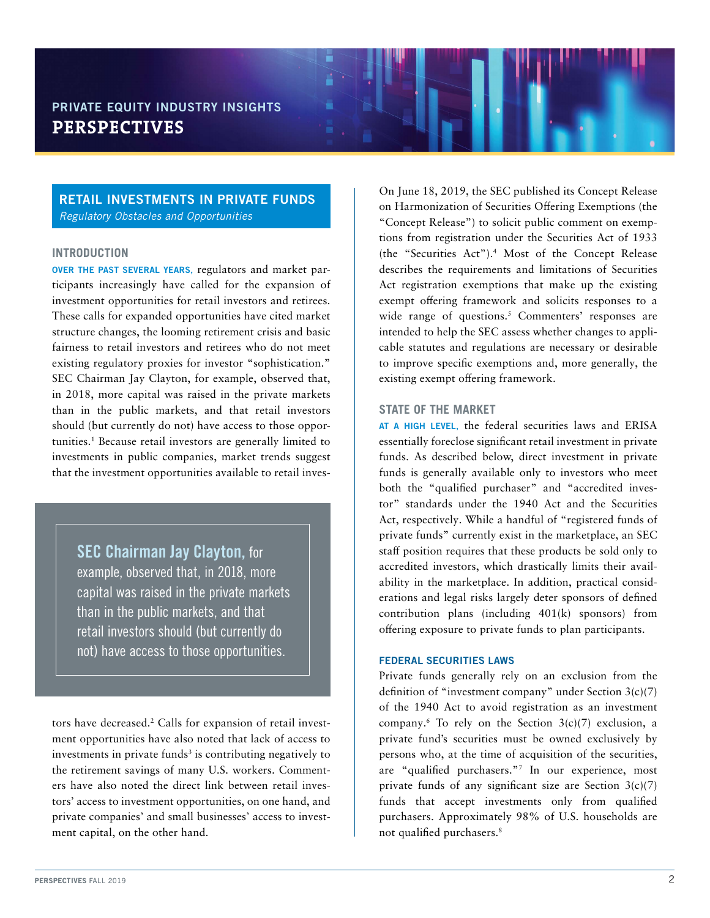#### RETAIL INVESTMENTS IN PRIVATE FUNDS *Regulatory Obstacles and Opportunities*

#### **INTRODUCTION**

OVER THE PAST SEVERAL YEARS, regulators and market participants increasingly have called for the expansion of investment opportunities for retail investors and retirees. These calls for expanded opportunities have cited market structure changes, the looming retirement crisis and basic fairness to retail investors and retirees who do not meet existing regulatory proxies for investor "sophistication." SEC Chairman Jay Clayton, for example, observed that, in 2018, more capital was raised in the private markets than in the public markets, and that retail investors should (but currently do not) have access to those opportunities.1 Because retail investors are generally limited to investments in public companies, market trends suggest that the investment opportunities available to retail inves-

SEC Chairman Jay Clayton, for example, observed that, in 2018, more capital was raised in the private markets than in the public markets, and that retail investors should (but currently do not) have access to those opportunities.

tors have decreased.2 Calls for expansion of retail investment opportunities have also noted that lack of access to investments in private funds<sup>3</sup> is contributing negatively to the retirement savings of many U.S. workers. Commenters have also noted the direct link between retail investors' access to investment opportunities, on one hand, and private companies' and small businesses' access to investment capital, on the other hand.

On June 18, 2019, the SEC published its Concept Release on Harmonization of Securities Offering Exemptions (the "Concept Release") to solicit public comment on exemptions from registration under the Securities Act of 1933 (the "Securities Act").4 Most of the Concept Release describes the requirements and limitations of Securities Act registration exemptions that make up the existing exempt offering framework and solicits responses to a wide range of questions.<sup>5</sup> Commenters' responses are intended to help the SEC assess whether changes to applicable statutes and regulations are necessary or desirable to improve specific exemptions and, more generally, the existing exempt offering framework.

#### **STATE OF THE MARKET**

AT A HIGH LEVEL, the federal securities laws and ERISA essentially foreclose significant retail investment in private funds. As described below, direct investment in private funds is generally available only to investors who meet both the "qualified purchaser" and "accredited investor" standards under the 1940 Act and the Securities Act, respectively. While a handful of "registered funds of private funds" currently exist in the marketplace, an SEC staff position requires that these products be sold only to accredited investors, which drastically limits their availability in the marketplace. In addition, practical considerations and legal risks largely deter sponsors of defined contribution plans (including 401(k) sponsors) from offering exposure to private funds to plan participants.

#### FEDERAL SECURITIES LAWS

Private funds generally rely on an exclusion from the definition of "investment company" under Section 3(c)(7) of the 1940 Act to avoid registration as an investment company.<sup>6</sup> To rely on the Section  $3(c)(7)$  exclusion, a private fund's securities must be owned exclusively by persons who, at the time of acquisition of the securities, are "qualified purchasers."7 In our experience, most private funds of any significant size are Section  $3(c)(7)$ funds that accept investments only from qualified purchasers. Approximately 98% of U.S. households are not qualified purchasers.8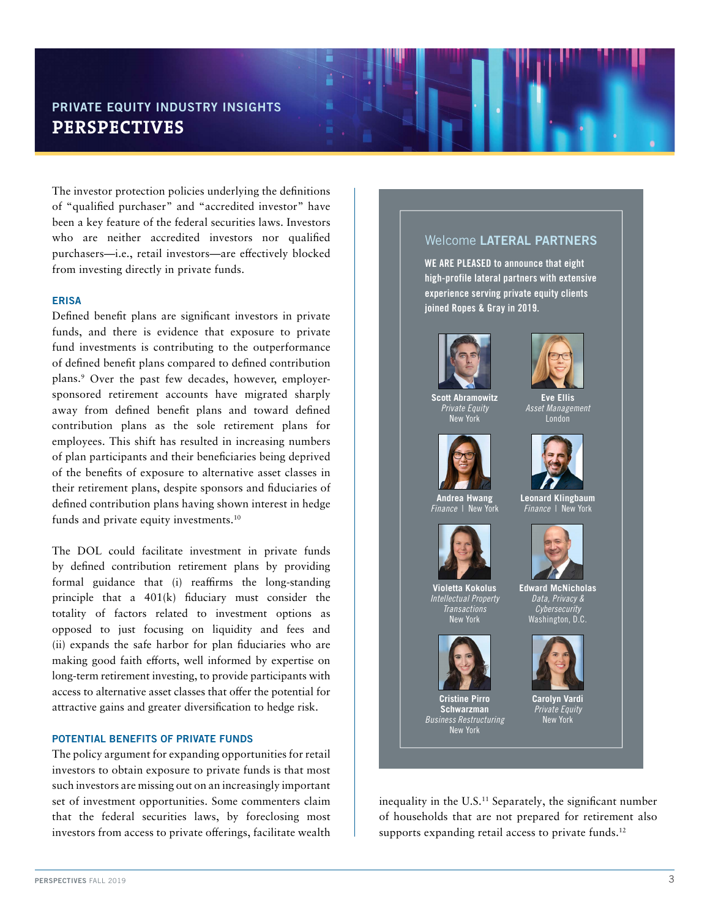The investor protection policies underlying the definitions of "qualified purchaser" and "accredited investor" have been a key feature of the federal securities laws. Investors who are neither accredited investors nor qualified purchasers—i.e., retail investors—are effectively blocked from investing directly in private funds.

#### ERISA

Defined benefit plans are significant investors in private funds, and there is evidence that exposure to private fund investments is contributing to the outperformance of defined benefit plans compared to defined contribution plans.9 Over the past few decades, however, employersponsored retirement accounts have migrated sharply away from defined benefit plans and toward defined contribution plans as the sole retirement plans for employees. This shift has resulted in increasing numbers of plan participants and their beneficiaries being deprived of the benefits of exposure to alternative asset classes in their retirement plans, despite sponsors and fiduciaries of defined contribution plans having shown interest in hedge funds and private equity investments.10

The DOL could facilitate investment in private funds by defined contribution retirement plans by providing formal guidance that (i) reaffirms the long-standing principle that a 401(k) fiduciary must consider the totality of factors related to investment options as opposed to just focusing on liquidity and fees and (ii) expands the safe harbor for plan fiduciaries who are making good faith efforts, well informed by expertise on long-term retirement investing, to provide participants with access to alternative asset classes that offer the potential for attractive gains and greater diversification to hedge risk.

#### POTENTIAL BENEFITS OF PRIVATE FUNDS

The policy argument for expanding opportunities for retail investors to obtain exposure to private funds is that most such investors are missing out on an increasingly important set of investment opportunities. Some commenters claim that the federal securities laws, by foreclosing most investors from access to private offerings, facilitate wealth

#### Welcome LATERAL PARTNERS

WE ARE PLEASED to announce that eight high-profile lateral partners with extensive experience serving private equity clients joined Ropes & Gray in 2019.



**Scott Abramowitz** *Private Equity* New York



**Andrea Hwang** *Finance* | New York



**Violetta Kokolus** *Intellectual Property Transactions* New York



**Cristine Pirro Schwarzman** *Business Restructuring*  New York



**Eve Ellis** *Asset Management* London



**Leonard Klingbaum** *Finance* | New York



**Edward McNicholas** *Data, Privacy & Cybersecurity* Washington, D.C.



**Carolyn Vardi** *Private Equity* New York

inequality in the U.S.<sup>11</sup> Separately, the significant number of households that are not prepared for retirement also supports expanding retail access to private funds.<sup>12</sup>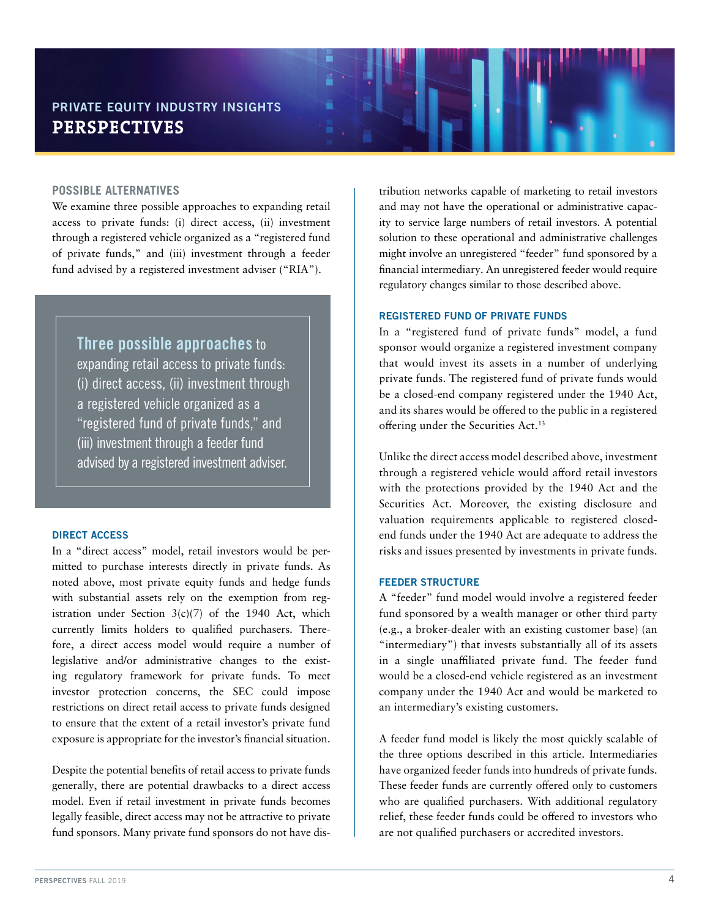#### **POSSIBLE ALTERNATIVES**

We examine three possible approaches to expanding retail access to private funds: (i) direct access, (ii) investment through a registered vehicle organized as a "registered fund of private funds," and (iii) investment through a feeder fund advised by a registered investment adviser ("RIA").

### Three possible approaches to

expanding retail access to private funds: (i) direct access, (ii) investment through a registered vehicle organized as a "registered fund of private funds," and (iii) investment through a feeder fund advised by a registered investment adviser.

#### DIRECT ACCESS

In a "direct access" model, retail investors would be permitted to purchase interests directly in private funds. As noted above, most private equity funds and hedge funds with substantial assets rely on the exemption from registration under Section  $3(c)(7)$  of the 1940 Act, which currently limits holders to qualified purchasers. Therefore, a direct access model would require a number of legislative and/or administrative changes to the existing regulatory framework for private funds. To meet investor protection concerns, the SEC could impose restrictions on direct retail access to private funds designed to ensure that the extent of a retail investor's private fund exposure is appropriate for the investor's financial situation.

Despite the potential benefits of retail access to private funds generally, there are potential drawbacks to a direct access model. Even if retail investment in private funds becomes legally feasible, direct access may not be attractive to private fund sponsors. Many private fund sponsors do not have distribution networks capable of marketing to retail investors and may not have the operational or administrative capacity to service large numbers of retail investors. A potential solution to these operational and administrative challenges might involve an unregistered "feeder" fund sponsored by a financial intermediary. An unregistered feeder would require regulatory changes similar to those described above.

#### REGISTERED FUND OF PRIVATE FUNDS

In a "registered fund of private funds" model, a fund sponsor would organize a registered investment company that would invest its assets in a number of underlying private funds. The registered fund of private funds would be a closed-end company registered under the 1940 Act, and its shares would be offered to the public in a registered offering under the Securities Act.13

Unlike the direct access model described above, investment through a registered vehicle would afford retail investors with the protections provided by the 1940 Act and the Securities Act. Moreover, the existing disclosure and valuation requirements applicable to registered closedend funds under the 1940 Act are adequate to address the risks and issues presented by investments in private funds.

#### FEEDER STRUCTURE

A "feeder" fund model would involve a registered feeder fund sponsored by a wealth manager or other third party (e.g., a broker-dealer with an existing customer base) (an "intermediary") that invests substantially all of its assets in a single unaffiliated private fund. The feeder fund would be a closed-end vehicle registered as an investment company under the 1940 Act and would be marketed to an intermediary's existing customers.

A feeder fund model is likely the most quickly scalable of the three options described in this article. Intermediaries have organized feeder funds into hundreds of private funds. These feeder funds are currently offered only to customers who are qualified purchasers. With additional regulatory relief, these feeder funds could be offered to investors who are not qualified purchasers or accredited investors.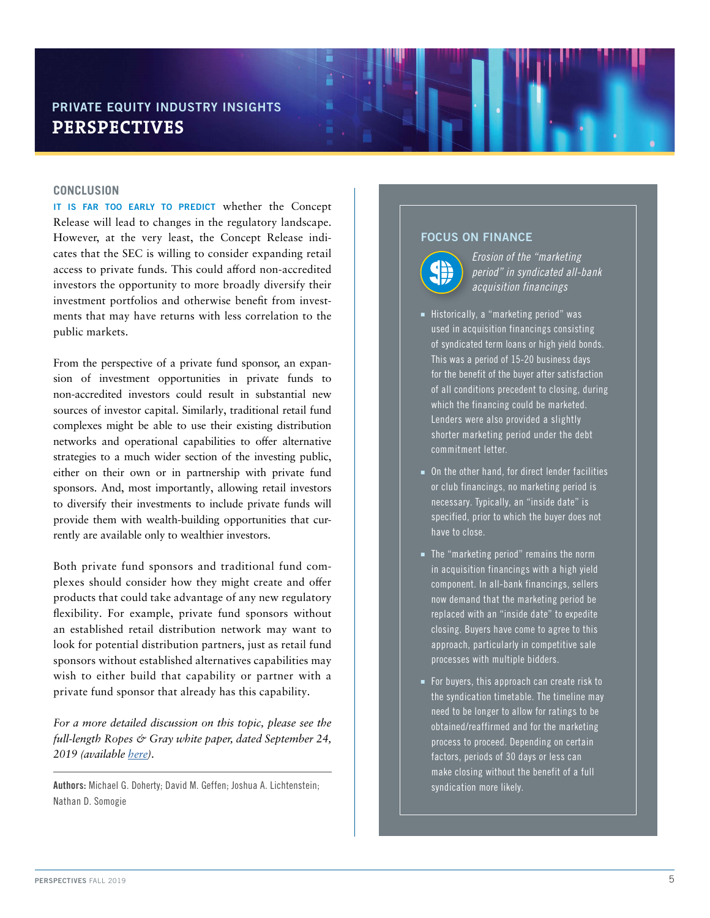#### **CONCLUSION**

IT IS FAR TOO EARLY TO PREDICT whether the Concept Release will lead to changes in the regulatory landscape. However, at the very least, the Concept Release indicates that the SEC is willing to consider expanding retail access to private funds. This could afford non-accredited investors the opportunity to more broadly diversify their investment portfolios and otherwise benefit from investments that may have returns with less correlation to the public markets.

From the perspective of a private fund sponsor, an expansion of investment opportunities in private funds to non-accredited investors could result in substantial new sources of investor capital. Similarly, traditional retail fund complexes might be able to use their existing distribution networks and operational capabilities to offer alternative strategies to a much wider section of the investing public, either on their own or in partnership with private fund sponsors. And, most importantly, allowing retail investors to diversify their investments to include private funds will provide them with wealth-building opportunities that currently are available only to wealthier investors.

Both private fund sponsors and traditional fund complexes should consider how they might create and offer products that could take advantage of any new regulatory flexibility. For example, private fund sponsors without an established retail distribution network may want to look for potential distribution partners, just as retail fund sponsors without established alternatives capabilities may wish to either build that capability or partner with a private fund sponsor that already has this capability.

*For a more detailed discussion on this topic, please see the full-length Ropes & Gray white paper, dated September 24, 2019 (available [here\)](https://www.ropesgray.com/en/newsroom/alerts/2019/09/RETAIL-INVESTMENTS-IN-PRIVATE-FUNDS-Regulatory-Obstacles-and-Opportunities-?NK=retail%20inv).*

Authors: Michael G. Doherty; David M. Geffen; Joshua A. Lichtenstein; Nathan D. Somogie

#### FOCUS ON FINANCE



*Erosion of the "marketing period" in syndicated all-bank acquisition financings*

- **E** Historically, a "marketing period" was used in acquisition financings consisting of syndicated term loans or high yield bonds. This was a period of 15-20 business days for the benefit of the buyer after satisfaction of all conditions precedent to closing, during which the financing could be marketed. Lenders were also provided a slightly shorter marketing period under the debt commitment letter.
- $\blacksquare$  On the other hand, for direct lender facilities or club financings, no marketing period is necessary. Typically, an "inside date" is specified, prior to which the buyer does not have to close.
- **n** The "marketing period" remains the norm in acquisition financings with a high yield component. In all-bank financings, sellers now demand that the marketing period be replaced with an "inside date" to expedite closing. Buyers have come to agree to this approach, particularly in competitive sale processes with multiple bidders.
- For buyers, this approach can create risk to the syndication timetable. The timeline may need to be longer to allow for ratings to be obtained/reaffirmed and for the marketing process to proceed. Depending on certain factors, periods of 30 days or less can make closing without the benefit of a full syndication more likely.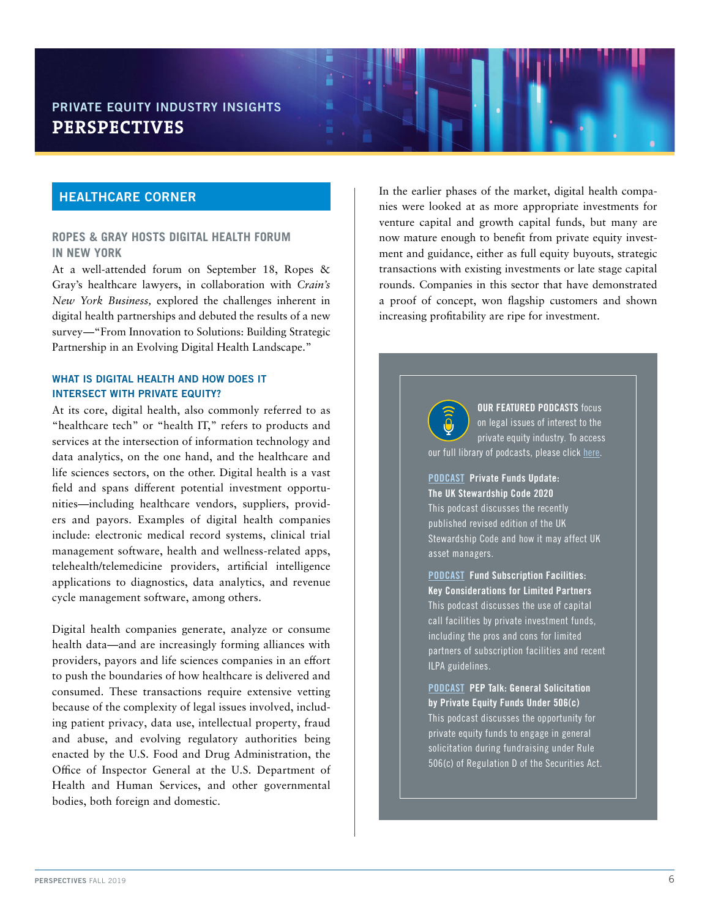#### HEALTHCARE CORNER

#### **ROPES & GRAY HOSTS DIGITAL HEALTH FORUM IN NEW YORK**

At a well-attended forum on September 18, Ropes & Gray's healthcare lawyers, in collaboration with *Crain's New York Business,* explored the challenges inherent in digital health partnerships and debuted the results of a new survey—"From Innovation to Solutions: Building Strategic Partnership in an Evolving Digital Health Landscape."

#### WHAT IS DIGITAL HEALTH AND HOW DOES IT INTERSECT WITH PRIVATE EQUITY?

At its core, digital health, also commonly referred to as "healthcare tech" or "health IT," refers to products and services at the intersection of information technology and data analytics, on the one hand, and the healthcare and life sciences sectors, on the other. Digital health is a vast field and spans different potential investment opportunities—including healthcare vendors, suppliers, providers and payors. Examples of digital health companies include: electronic medical record systems, clinical trial management software, health and wellness-related apps, telehealth/telemedicine providers, artificial intelligence applications to diagnostics, data analytics, and revenue cycle management software, among others.

Digital health companies generate, analyze or consume health data—and are increasingly forming alliances with providers, payors and life sciences companies in an effort to push the boundaries of how healthcare is delivered and consumed. These transactions require extensive vetting because of the complexity of legal issues involved, including patient privacy, data use, intellectual property, fraud and abuse, and evolving regulatory authorities being enacted by the U.S. Food and Drug Administration, the Office of Inspector General at the U.S. Department of Health and Human Services, and other governmental bodies, both foreign and domestic.

In the earlier phases of the market, digital health companies were looked at as more appropriate investments for venture capital and growth capital funds, but many are now mature enough to benefit from private equity investment and guidance, either as full equity buyouts, strategic transactions with existing investments or late stage capital rounds. Companies in this sector that have demonstrated a proof of concept, won flagship customers and shown increasing profitability are ripe for investment.

> **OUR FEATURED PODCASTS focus** on legal issues of interest to the private equity industry. To access our full library of podcasts, please click [here](https://www.ropesgray.com/en/newsroom/podcasts).

[PODCAST](https://www.ropesgray.com/en/newsroom/podcasts/2019/November/Podcast-Private-Funds-Update-The-UK-Stewardship-Code-2020) Private Funds Update: The UK Stewardship Code 2020 This podcast discusses the recently published revised edition of the UK Stewardship Code and how it may affect UK asset managers.

[PODCAST](https://www.ropesgray.com/en/newsroom/podcasts/2019/September/Podcast-Fund-Subscription-Facilities-Key-Considerations-for-Limited-Partners) Fund Subscription Facilities: Key Considerations for Limited Partners This podcast discusses the use of capital call facilities by private investment funds, including the pros and cons for limited partners of subscription facilities and recent ILPA guidelines.

[PODCAST](https://www.ropesgray.com/en/newsroom/podcasts/2019/June/Podcast-Ropes-Grays-PEP-Talk-General-Solicitation-by-Private-Equity-Funds-Under-506c) PEP Talk: General Solicitation by Private Equity Funds Under 506(c) This podcast discusses the opportunity for private equity funds to engage in general solicitation during fundraising under Rule 506(c) of Regulation D of the Securities Act.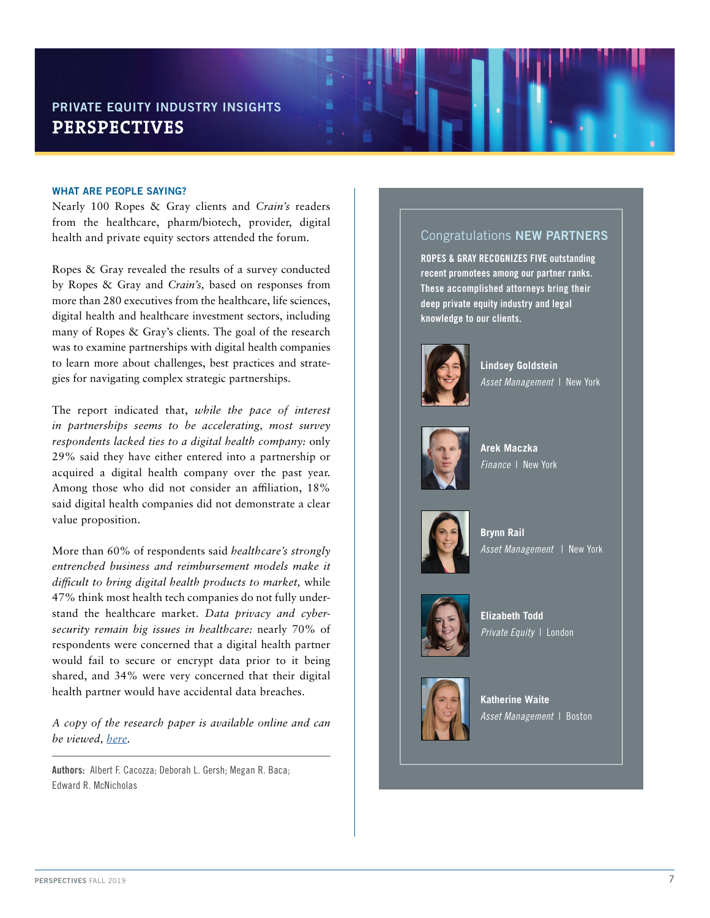#### WHAT ARE PEOPLE SAYING?

Nearly 100 Ropes & Gray clients and *Crain's* readers from the healthcare, pharm/biotech, provider, digital health and private equity sectors attended the forum.

Ropes & Gray revealed the results of a survey conducted by Ropes & Gray and *Crain's,* based on responses from more than 280 executives from the healthcare, life sciences, digital health and healthcare investment sectors, including many of Ropes & Gray's clients. The goal of the research was to examine partnerships with digital health companies to learn more about challenges, best practices and strategies for navigating complex strategic partnerships.

The report indicated that, *while the pace of interest in partnerships seems to be accelerating, most survey respondents lacked ties to a digital health company:* only 29% said they have either entered into a partnership or acquired a digital health company over the past year. Among those who did not consider an affiliation, 18% said digital health companies did not demonstrate a clear value proposition.

More than 60% of respondents said *healthcare's strongly entrenched business and reimbursement models make it difficult to bring digital health products to market,* while 47% think most health tech companies do not fully understand the healthcare market. *Data privacy and cybersecurity remain big issues in healthcare:* nearly 70% of respondents were concerned that a digital health partner would fail to secure or encrypt data prior to it being shared, and 34% were very concerned that their digital health partner would have accidental data breaches.

*A copy of the research paper is available online and can be viewed, [here.](https://www.ropesgray.com/en/digital-health-report)*

Authors: Albert F. Cacozza; Deborah L. Gersh; Megan R. Baca; Edward R. McNicholas

#### Congratulations NEW PARTNERS

ROPES & GRAY RECOGNIZES FIVE outstanding recent promotees among our partner ranks. These accomplished attorneys bring their deep private equity industry and legal knowledge to our clients.



**Lindsey Goldstein** *Asset Management* | New York



**Arek Maczka** *Finance* | New York



**Brynn Rail** *Asset Management* | New York



**Elizabeth Todd** *Private Equity* | London



**Katherine Waite** *Asset Management* | Boston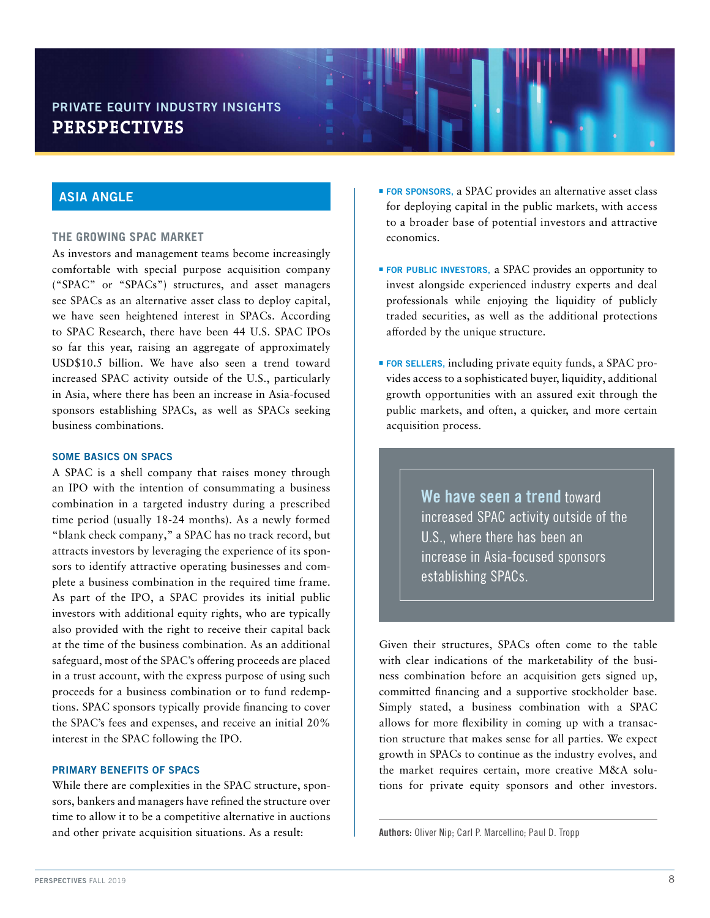#### ASIA ANGLE

#### **THE GROWING SPAC MARKET**

As investors and management teams become increasingly comfortable with special purpose acquisition company ("SPAC" or "SPACs") structures, and asset managers see SPACs as an alternative asset class to deploy capital, we have seen heightened interest in SPACs. According to SPAC Research, there have been 44 U.S. SPAC IPOs so far this year, raising an aggregate of approximately USD\$10.5 billion. We have also seen a trend toward increased SPAC activity outside of the U.S., particularly in Asia, where there has been an increase in Asia-focused sponsors establishing SPACs, as well as SPACs seeking business combinations.

#### SOME BASICS ON SPACS

A SPAC is a shell company that raises money through an IPO with the intention of consummating a business combination in a targeted industry during a prescribed time period (usually 18-24 months). As a newly formed "blank check company," a SPAC has no track record, but attracts investors by leveraging the experience of its sponsors to identify attractive operating businesses and complete a business combination in the required time frame. As part of the IPO, a SPAC provides its initial public investors with additional equity rights, who are typically also provided with the right to receive their capital back at the time of the business combination. As an additional safeguard, most of the SPAC's offering proceeds are placed in a trust account, with the express purpose of using such proceeds for a business combination or to fund redemptions. SPAC sponsors typically provide financing to cover the SPAC's fees and expenses, and receive an initial 20% interest in the SPAC following the IPO.

#### PRIMARY BENEFITS OF SPACS

While there are complexities in the SPAC structure, sponsors, bankers and managers have refined the structure over time to allow it to be a competitive alternative in auctions and other private acquisition situations. As a result:

- **FOR SPONSORS**, a SPAC provides an alternative asset class for deploying capital in the public markets, with access to a broader base of potential investors and attractive economics.
- **FOR PUBLIC INVESTORS, a SPAC provides an opportunity to** invest alongside experienced industry experts and deal professionals while enjoying the liquidity of publicly traded securities, as well as the additional protections afforded by the unique structure.
- **FOR SELLERS**, including private equity funds, a SPAC provides access to a sophisticated buyer, liquidity, additional growth opportunities with an assured exit through the public markets, and often, a quicker, and more certain acquisition process.

We have seen a trend toward increased SPAC activity outside of the U.S., where there has been an increase in Asia-focused sponsors establishing SPACs.

Given their structures, SPACs often come to the table with clear indications of the marketability of the business combination before an acquisition gets signed up, committed financing and a supportive stockholder base. Simply stated, a business combination with a SPAC allows for more flexibility in coming up with a transaction structure that makes sense for all parties. We expect growth in SPACs to continue as the industry evolves, and the market requires certain, more creative M&A solutions for private equity sponsors and other investors.

Authors: Oliver Nip; Carl P. Marcellino; Paul D. Tropp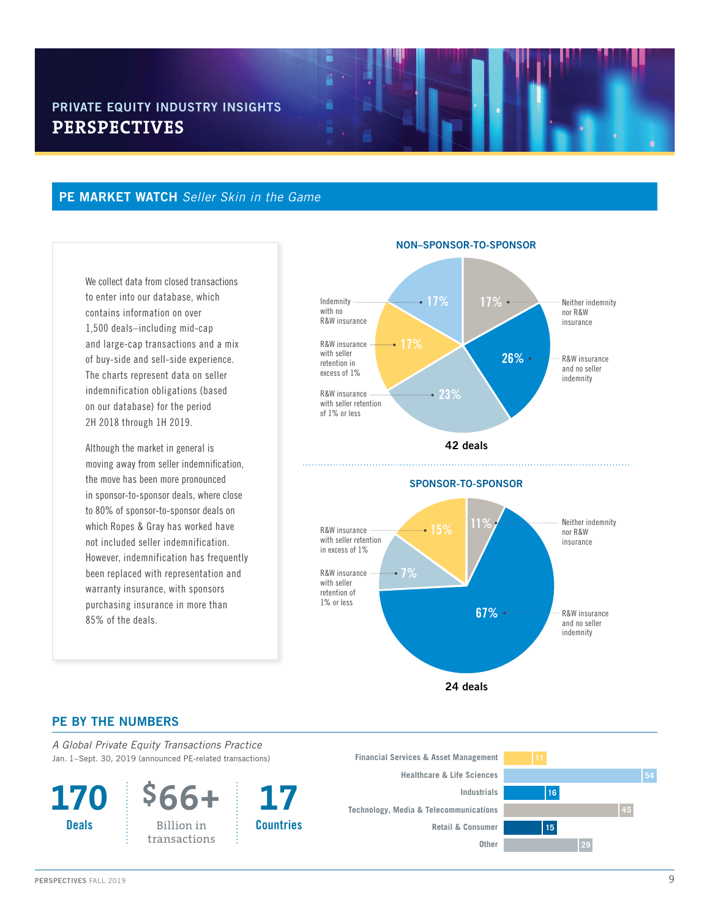#### PE MARKET WATCH *Seller Skin in the Game*

We collect data from closed transactions to enter into our database, which contains information on over 1,500 deals–including mid-cap and large-cap transactions and a mix of buy-side and sell-side experience. The charts represent data on seller indemnification obligations (based on our database) for the period 2H 2018 through 1H 2019.

Although the market in general is moving away from seller indemnification, the move has been more pronounced in sponsor-to-sponsor deals, where close to 80% of sponsor-to-sponsor deals on which Ropes & Gray has worked have not included seller indemnification. However, indemnification has frequently been replaced with representation and warranty insurance, with sponsors purchasing insurance in more than 85% of the deals.



#### NON–SPONSOR-TO-SPONSOR



24 deals

#### PE BY THE NUMBERS

*A Global Private Equity Transactions Practice*  Jan. 1–Sept. 30, 2019 (announced PE-related transactions)

**170 Deals** 



**17 Countries** 

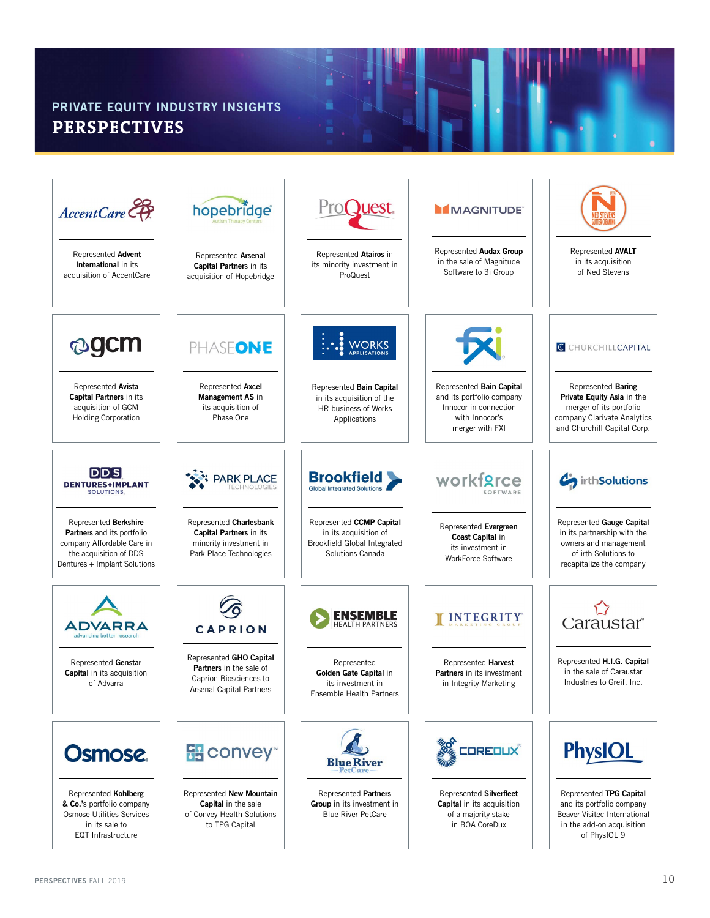